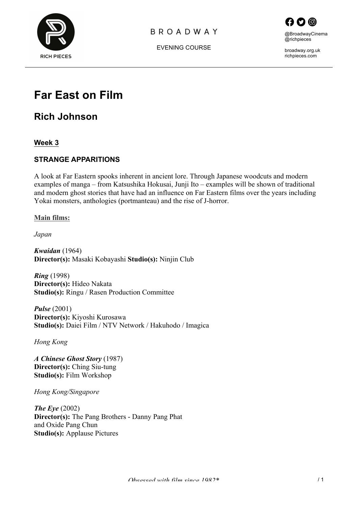

# **BROADWAY**



broadway.org.uk richpieces.com

EVENING COURSE

# **Far East on Film**

**Rich Johnson**

**Week 3**

# **STRANGE APPARITIONS**

A look at Far Eastern spooks inherent in ancient lore. Through Japanese woodcuts and modern examples of manga – from Katsushika Hokusai, Junji Ito – examples will be shown of traditional and modern ghost stories that have had an influence on Far Eastern films over the years including Yokai monsters, anthologies (portmanteau) and the rise of J-horror.

**Main films:**

*Japan*

*Kwaidan* (1964) **Director(s):** Masaki Kobayashi **Studio(s):** Ninjin Club

*Ring* (1998) **Director(s):** Hideo Nakata **Studio(s):** Ringu / Rasen Production Committee

*Pulse* (2001) **Director(s):** Kiyoshi Kurosawa **Studio(s):** Daiei Film / NTV Network / Hakuhodo / Imagica

*Hong Kong*

*A Chinese Ghost Story* (1987) **Director(s):** Ching Siu-tung **Studio(s):** Film Workshop

*Hong Kong/Singapore*

*The Eye* (2002) **Director(s):** The Pang Brothers - Danny Pang Phat and Oxide Pang Chun **Studio(s):** Applause Pictures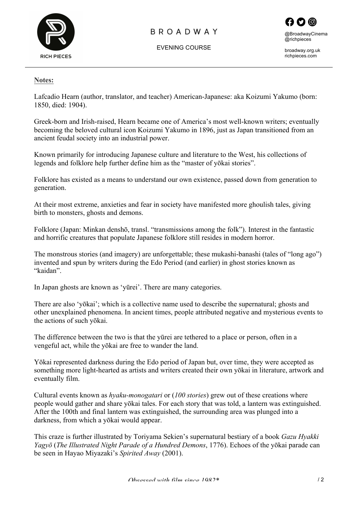

# **BROADWAY**

EVENING COURSE



broadway.org.uk richpieces.com

#### **Notes:**

Lafcadio Hearn (author, translator, and teacher) American-Japanese: aka Koizumi Yakumo (born: 1850, died: 1904).

Greek-born and Irish-raised, Hearn became one of America's most well-known writers; eventually becoming the beloved cultural icon Koizumi Yakumo in 1896, just as Japan transitioned from an ancient feudal society into an industrial power.

Known primarily for introducing Japanese culture and literature to the West, his collections of legends and folklore help further define him as the "master of yōkai stories".

Folklore has existed as a means to understand our own existence, passed down from generation to generation.

At their most extreme, anxieties and fear in society have manifested more ghoulish tales, giving birth to monsters, ghosts and demons.

Folklore (Japan: Minkan denshō, transl. "transmissions among the folk"). Interest in the fantastic and horrific creatures that populate Japanese folklore still resides in modern horror.

The monstrous stories (and imagery) are unforgettable; these mukashi-banashi (tales of "long ago") invented and spun by writers during the Edo Period (and earlier) in ghost stories known as "kaidan".

In Japan ghosts are known as 'yūrei'. There are many categories.

There are also 'yōkai'; which is a collective name used to describe the supernatural; ghosts and other unexplained phenomena. In ancient times, people attributed negative and mysterious events to the actions of such yōkai.

The difference between the two is that the yūrei are tethered to a place or person, often in a vengeful act, while the yōkai are free to wander the land.

Yōkai represented darkness during the Edo period of Japan but, over time, they were accepted as something more light-hearted as artists and writers created their own yōkai in literature, artwork and eventually film.

Cultural events known as *hyaku-monogatari* or (*100 stories*) grew out of these creations where people would gather and share yōkai tales. For each story that was told, a lantern was extinguished. After the 100th and final lantern was extinguished, the surrounding area was plunged into a darkness, from which a yōkai would appear.

This craze is further illustrated by Toriyama Sekien's supernatural bestiary of a book *Gazu Hyakki Yagyō* (*The Illustrated Night Parade of a Hundred Demons*, 1776). Echoes of the yōkai parade can be seen in Hayao Miyazaki's *Spirited Away* (2001).